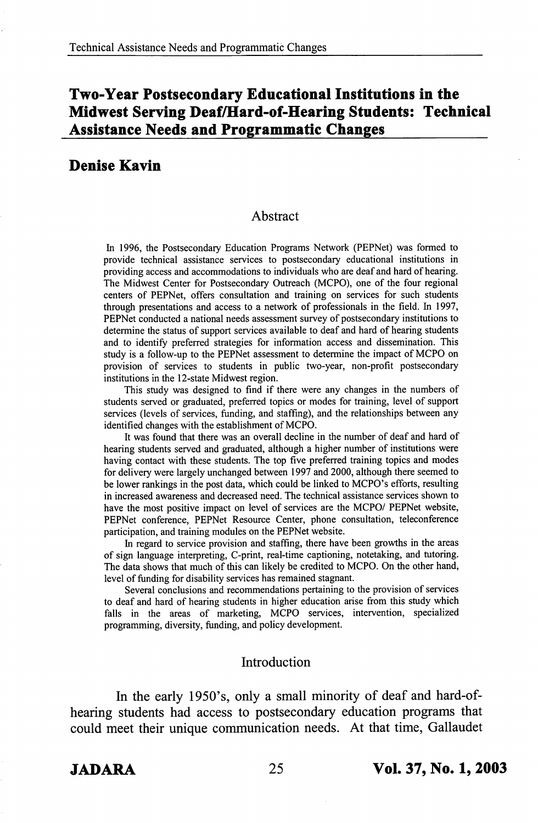# Two-Year Postsecondary Educational Institutions in the Midwest Serving Deaf/Hard-of-Hearing Students: Technical Assistance Needs and Programmatic Changes

## Denise Kavin

#### Abstract

In 1996, the Postsecondary Education Programs Network (PEPNet) was formed to provide technical assistance services to postsecondary educational institutions in providing access and accommodations to individuals who are deaf and hard of hearing. The Midwest Center for Postsecondary Outreach (MCPO), one of the four regional centers of PEPNet, offers consultation and training on services for such students through presentations and access to a network of professionals in the field. In 1997, PEPNet conducted a national needs assessment survey of postsecondary institutions to determine the status of support services available to deaf and hard of hearing students and to identify preferred strategies for information access and dissemination. This study is a follow-up to the PEPNet assessment to determine the impact of MCPO on provision of services to students in public two-year, non-profit postsecondary institutions in the 12-state Midwest region.

This study was designed to find if there were any changes in the numbers of students served or graduated, preferred topics or modes for training, level of support services (levels of services, funding, and staffing), and the relationships between any identified changes with the establishment of MCPO.

It was found that there was an overall decline in the number of deaf and hard of hearing students served and graduated, although a higher number of institutions were having contact with these students. The top five preferred training topics and modes for delivery were largely unchanged between 1997 and 2000, although there seemed to be lower rankings in the post data, which could be linked to MCPO's efforts, resulting in increased awareness and decreased need. The technical assistance services shown to have the most positive impact on level of services are the MCPO/ PEPNet website, PEPNet conference, PEPNet Resource Center, phone consultation, teleconference participation, and training modules on the PEPNet website.

In regard to service provision and staffing, there have been growths in the areas of sign language interpreting, C-print, real-time captioning, notetaking, and tutoring. The data shows that much of this can likely be credited to MCPO. On the other hand, level of funding for disability services has remained stagnant.

Several conclusions and recommendations pertaining to the provision of services to deaf and hard of hearing students in higher education arise from this study which falls in the areas of marketing, MCPO services, intervention, specialized programming, diversity, funding, and policy development.

### Introduction

In the early 1950's, only a small minority of deaf and hard-ofhearing students had access to postsecondary education programs that could meet their unique communication needs. At that time, Gallaudet

JADARA 25 Vol. 37, No. 1,2003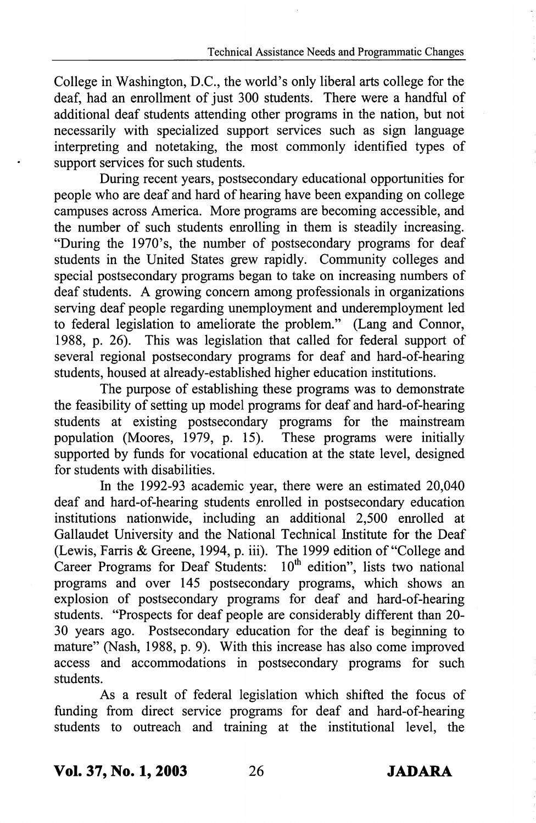College in Washington, D.C., the world's only liberal arts college for the deaf, had an enrollment of just 300 students. There were a handful of additional deaf students attending other programs in the nation, but not necessarily with specialized support services such as sign language interpreting and notetaking, the most commonly identified types of support services for such students.

During recent years, postsecondary educational opportunities for people who are deaf and hard of hearing have been expanding on college campuses across America. More programs are becoming accessible, and the number of such students enrolling in them is steadily increasing. "During the 1970's, the number of postsecondary programs for deaf students in the United States grew rapidly. Community colleges and special postsecondary programs began to take on increasing numbers of deaf students. A growing concem among professionals in organizations serving deaf people regarding unemployment and underemployment led to federal legislation to ameliorate the problem." (Lang and Connor, 1988, p. 26). This was legislation that called for federal support of several regional postsecondary programs for deaf and hard-of-hearing students, housed at already-established higher education institutions.

The purpose of establishing these programs was to demonstrate the feasibility of setting up model programs for deaf and hard-of-hearing students at existing postsecondary programs for the mainstream population (Moores, 1979, p. 15). These programs were initially supported by funds for vocational education at the state level, designed for students with disabilities.

In the 1992-93 academic year, there were an estimated 20,040 deaf and hard-of-hearing students enrolled in postsecondary education institutions nationwide, including an additional 2,500 enrolled at Gallaudet University and the National Technical Institute for the Deaf (Lewis, Farris & Greene, 1994, p. iii). The 1999 edition of "College and Career Programs for Deaf Students:  $10<sup>th</sup>$  edition", lists two national programs and over 145 postsecondary programs, which shows an explosion of postsecondary programs for deaf and hard-of-hearing students. "Prospects for deaf people are considerably different than 20- 30 years ago. Postsecondary education for the deaf is beginning to mature" (Nash, 1988, p. 9). With this increase has also come improved access and accommodations in postsecondary programs for such students.

As a result of federal legislation which shifted the focus of funding from direct service programs for deaf and hard-of-hearing students to outreach and training at the institutional level, the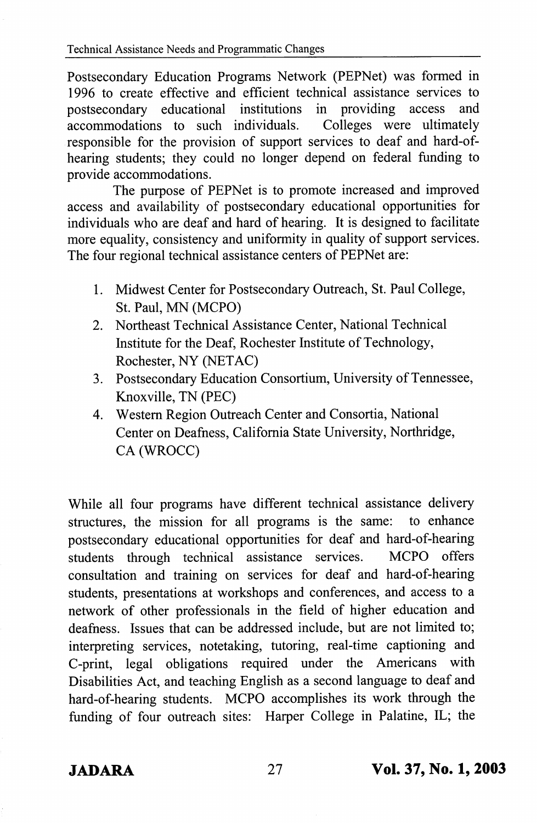Postsecondary Education Programs Network (PEPNet) was formed in 1996 to create effective and efficient technical assistance services to postsecondary educational institutions in providing access and accommodations to such individuals. Colleges were ultimately accommodations to such individuals. responsible for the provision of support services to deaf and hard-ofhearing students; they could no longer depend on federal fimding to provide accommodations.

The purpose of PEPNet is to promote increased and improved access and availability of postsecondary educational opportunities for individuals who are deaf and hard of hearing. It is designed to facilitate more equality, consistency and uniformity in quality of support services. The four regional technical assistance centers of PEPNet are:

- 1. Midwest Center for Postsecondary Outreach, St. Paul College, St. Paul, MN (MCPO)
- 2. Northeast Technical Assistance Center, National Technical Institute for the Deaf, Rochester Institute of Technology, Rochester, NY (NETAC)
- 3. Postsecondary Education Consortium, University of Tennessee, Knoxville, TN (PEC)
- 4. Western Region Outreach Center and Consortia, National Center on Deafness, California State University, Northridge, CA (WROCC)

While all four programs have different technical assistance delivery structures, the mission for all programs is the same: to enhance postsecondary educational opportunities for deaf and hard-of-hearing students through technical assistance services. MCPO offers consultation and training on services for deaf and hard-of-hearing students, presentations at workshops and conferences, and access to a network of other professionals in the field of higher education and deafness. Issues that can be addressed include, but are not limited to; interpreting services, notetaking, tutoring, real-time captioning and C-print, legal obligations required under the Americans with Disabilities Act, and teaching English as a second language to deaf and hard-of-hearing students. MCPO accomplishes its work through the funding of four outreach sites: Harper College in Palatine, IL; the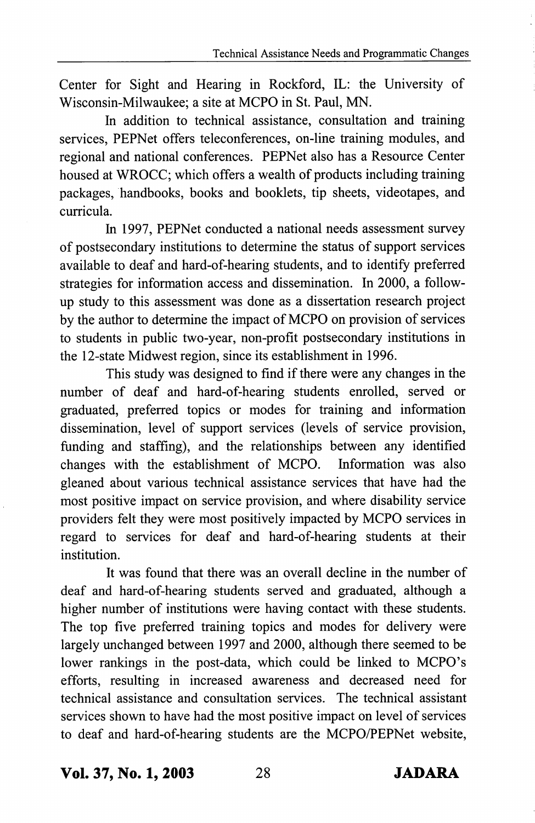Center for Sight and Hearing in Rockford, IL: the University of Wisconsin-Milwaukee; a site at MCPO in St. Paul, MN.

In addition to technical assistance, consultation and training services, PEPNet offers teleconferences, on-line training modules, and regional and national conferences. PEPNet also has a Resource Center housed at WROCC; which offers a wealth of products including training packages, handbooks, books and booklets, tip sheets, videotapes, and curricula.

In 1997, PEPNet conducted a national needs assessment survey of postsecondary institutions to determine the status of support services available to deaf and hard-of-hearing students, and to identify preferred strategies for information access and dissemination. In 2000, a followup study to this assessment was done as a dissertation research project by the author to determine the impact of MCPO on provision of services to students in public two-year, non-profit postsecondary institutions in the I2-state Midwest region, since its establishment in 1996.

This study was designed to find if there were any changes in the number of deaf and hard-of-hearing students enrolled, served or graduated, preferred topics or modes for training and information dissemination, level of support services (levels of service provision, funding and staffing), and the relationships between any identified changes with the establishment of MCPO. Information was also gleaned about various technical assistance services that have had the most positive impact on service provision, and where disability service providers felt they were most positively impacted by MCPO services in regard to services for deaf and hard-of-hearing students at their institution.

It was found that there was an overall decline in the number of deaf and hard-of-hearing students served and graduated, although a higher number of institutions were having contact with these students. The top five preferred training topics and modes for delivery were largely unchanged between 1997 and 2000, although there seemed to be lower rankings in the post-data, which could be linked to MCPO's efforts, resulting in increased awareness and decreased need for technical assistance and consultation services. The technical assistant services shown to have had the most positive impact on level of services to deaf and hard-of-hearing students are the MCPO/PEPNet website.

Vol. 37, No. 1,2003 28 JADARA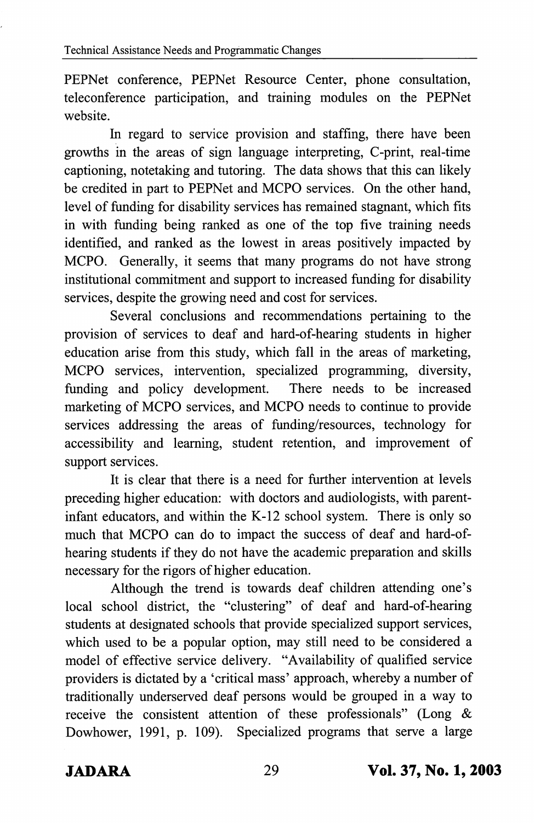PEPNet conference, PEPNet Resource Center, phone consultation, teleconference participation, and training modules on the PEPNet website.

In regard to service provision and staffing, there have been growths in the areas of sign language interpreting, C-print, real-time captioning, notetaking and tutoring. The data shows that this can likely be credited in part to PEPNet and MCPO services. On the other hand, level of funding for disability services has remained stagnant, which fits in with funding being ranked as one of the top five training needs identified, and ranked as the lowest in areas positively impacted by MCPO. Generally, it seems that many programs do not have strong institutional commitment and support to increased funding for disability services, despite the growing need and cost for services.

Several conclusions and recommendations pertaining to the provision of services to deaf and hard-of-hearing students in higher education arise from this study, which fall in the areas of marketing, MCPO services, intervention, specialized programming, diversity, funding and policy development. marketing of MCPO services, and MCPO needs to continue to provide services addressing the areas of funding/resources, technology for accessibility and learning, student retention, and improvement of support services.

It is clear that there is a need for further intervention at levels preceding higher education: with doctors and audiologists, with parentinfant educators, and within the K-12 school system. There is only so much that MCPO can do to impact the success of deaf and hard-ofhearing students if they do not have the academic preparation and skills necessary for the rigors of higher education.

Although the trend is towards deaf children attending one's local school district, the "clustering" of deaf and hard-of-hearing students at designated schools that provide specialized support services, which used to be a popular option, may still need to be considered a model of effective service delivery. "Availability of qualified service providers is dictated by a 'critical mass' approach, whereby a number of traditionally underserved deaf persons would be grouped in a way to receive the consistent attention of these professionals" (Long & Dowhower, 1991, p. 109). Specialized programs that serve a large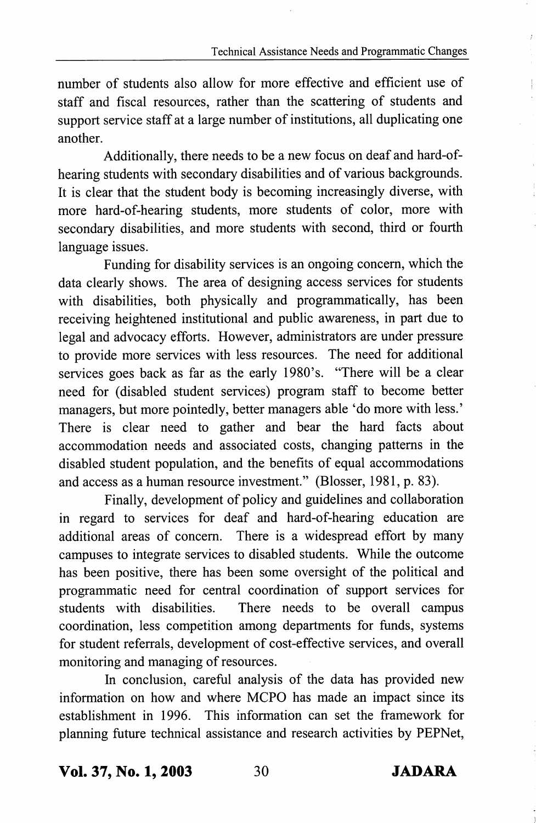number of students also allow for more effeetive and efficient use of staff and fiscal resources, rather than the scattering of students and support service staff at a large number of institutions, all duplicating one another.

Additionally, there needs to be a new focus on deaf and hard-ofhearing students with secondary disabilities and of various backgrounds. It is clear that the student body is becoming increasingly diverse, with more hard-of-hearing students, more students of color, more with secondary disabilities, and more students with second, third or fourth language issues.

Funding for disability services is an ongoing concern, which the data clearly shows. The area of designing access services for students with disabilities, both physically and programmatically, has been receiving heightened institutional and public awareness, in part due to legal and advocacy efforts. However, administrators are under pressure to provide more services with less resources. The need for additional services goes back as far as the early 1980's. "There will be a clear need for (disabled student services) program staff to become better managers, but more pointedly, better managers able 'do more with less.' There is clear need to gather and bear the hard facts about accommodation needs and associated costs, changing patterns in the disabled student population, and the benefits of equal accommodations and access as a human resource investment." (Blosser, 1981, p. 83).

Finally, development of policy and guidelines and collaboration in regard to services for deaf and hard-of-hearing education are additional areas of eoncem. There is a widespread effort by many campuses to integrate services to disabled students. While the outcome has been positive, there has been some oversight of the political and programmatic need for central coordination of support services for students with disabilities. There needs to be overall campus coordination, less competition among departments for funds, systems for student referrals, development of cost-effective services, and overall monitoring and managing of resources.

In conclusion, careful analysis of the data has provided new information on how and where MCPO has made an impact since its establishment in 1996. This information can set the framework for planning future teehnical assistance and research activities by PEPNet,